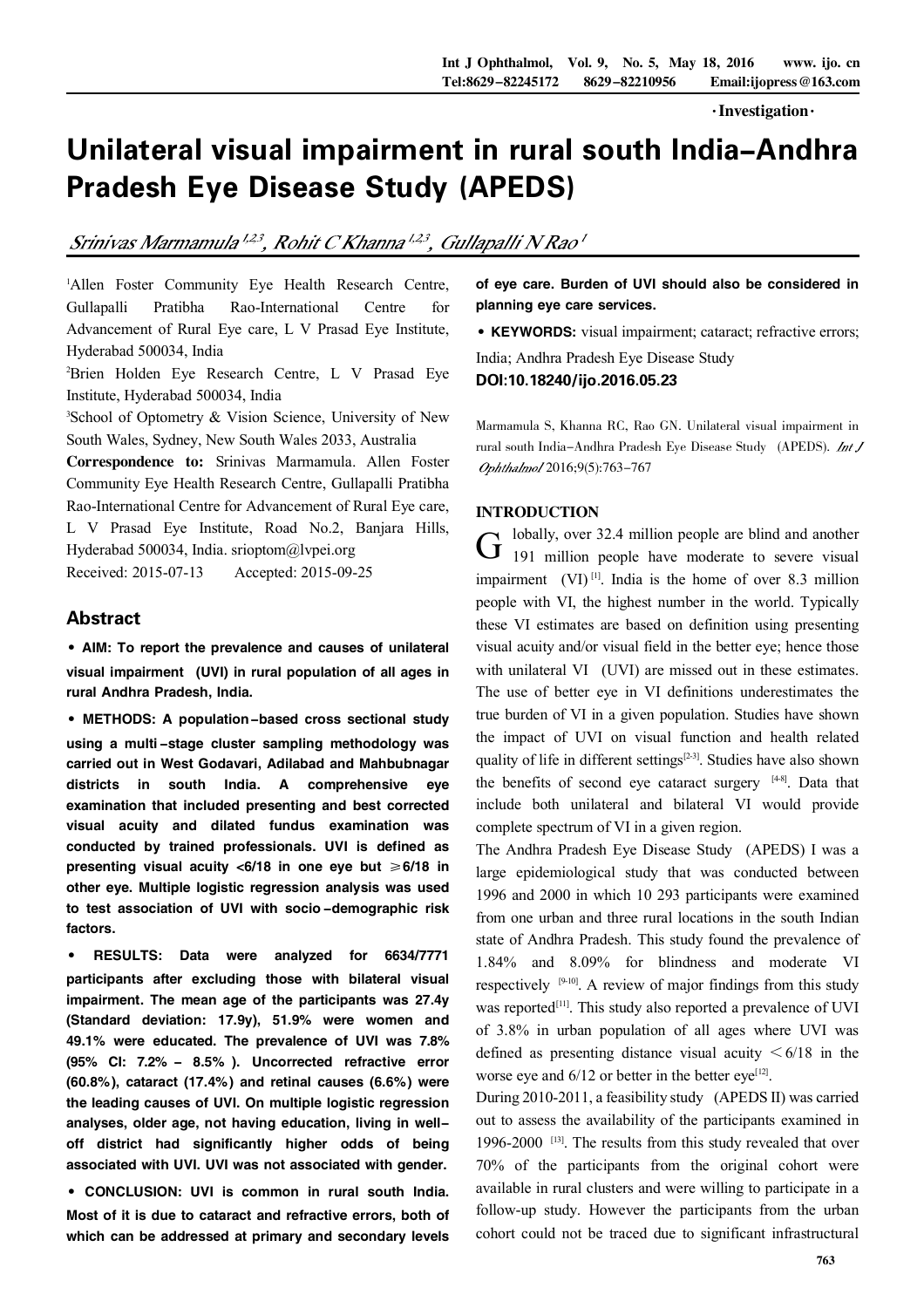$\cdot$ Investigation $\cdot$ 

# Unilateral visual impairment in rural south India-Andhra Pradesh Eye Disease Study (APEDS)

## Srinivas Marmamula<sup>1,23</sup>, Rohit C Khanna<sup>1,23</sup>, Gullapalli N Rao<sup>1</sup>

<sup>1</sup>Allen Foster Community Eye Health Research Centre, Gullapalli Pratibha Rao-International Centre for Advancement of Rural Eye care, L V Prasad Eye Institute, Hyderabad 500034, India

<sup>2</sup>Brien Holden Eye Research Centre, L V Prasad Eye Institute, Hyderabad 500034, India

<sup>3</sup>School of Optometry & Vision Science, University of New South Wales, Sydney, New South Wales 2033, Australia

Correspondence to: Srinivas Marmamula. Allen Foster Community Eye Health Research Centre, Gullapalli Pratibha Rao-International Centre for Advancement of Rural Eye care, L V Prasad Eye Institute, Road No.2, Banjara Hills, Hyderabad 500034, India. srioptom@lvpei.org

Received: 2015-07-13 Accepted: 2015-09-25

## Abstract

·AIM: To report the prevalence and causes of unilateral visual impairment (UVI) in rural population of all ages in rural Andhra Pradesh, India.

·METHODS: <sup>A</sup> population-based cross sectional study using a multi -stage cluster sampling methodology was carried out in West Godavari, Adilabad and Mahbubnagar districts in south India. A comprehensive eye examination that included presenting and best corrected visual acuity and dilated fundus examination was conducted by trained professionals. UVI is defined as presenting visual acuity  $< 6/18$  in one eye but  $\ge 6/18$  in other eye. Multiple logistic regression analysis was used to test association of UVI with socio-demographic risk factors.

· RESULTS: Data were analyzed for 6634/7771 participants after excluding those with bilateral visual impairment. The mean age of the participants was 27.4y (Standard deviation: 17.9y), 51.9% were women and 49.1% were educated. The prevalence of UVI was 7.8% (95% CI: 7.2% - 8.5% ). Uncorrected refractive error (60.8%), cataract (17.4%) and retinal causes (6.6%) were the leading causes of UVI. On multiple logistic regression analyses, older age, not having education, living in welloff district had significantly higher odds of being associated with UVI. UVI was not associated with gender.

·CONCLUSION: UVI is common in rural south India. Most of it is due to cataract and refractive errors, both of which can be addressed at primary and secondary levels of eye care. Burden of UVI should also be considered in planning eye care services.

·KEYWORDS: visual impairment; cataract; refractive errors;

India; Andhra Pradesh Eye Disease Study DOI:10.18240/ijo.2016.05.23

Marmamula S, Khanna RC, Rao GN. Unilateral visual impairment in rural south India-Andhra Pradesh Eye Disease Study (APEDS). Ophthalmol 2016;9(5):763-767

### INTRODUCTION

 $G$  lobally, over 32.4 million people are blind and another 191 million people have moderate to severe visual lobally, over 32.4 million people are blind and another impairment  $(VI)^{[1]}$ . India is the home of over 8.3 million people with VI, the highest number in the world. Typically these VI estimates are based on definition using presenting visual acuity and/or visual field in the better eye; hence those with unilateral VI (UVI) are missed out in these estimates. The use of better eye in VI definitions underestimates the true burden of VI in a given population. Studies have shown the impact of UVI on visual function and health related quality of life in different settings<sup>[2-3]</sup>. Studies have also shown the benefits of second eye cataract surgery [48]. Data that include both unilateral and bilateral VI would provide complete spectrum of VI in a given region.

The Andhra Pradesh Eye Disease Study (APEDS) I was a large epidemiological study that was conducted between 1996 and 2000 in which 10 293 participants were examined from one urban and three rural locations in the south Indian state of Andhra Pradesh. This study found the prevalence of 1.84% and 8.09% for blindness and moderate VI respectively  $[9-10]$ . A review of major findings from this study was reported<sup>[11]</sup>. This study also reported a prevalence of UVI of 3.8% in urban population of all ages where UVI was defined as presenting distance visual acuity  $\leq 6/18$  in the worse eye and  $6/12$  or better in the better eye<sup>[12]</sup>.

During 2010-2011, a feasibility study (APEDS II) was carried out to assess the availability of the participants examined in 1996-2000<sup>[13]</sup>. The results from this study revealed that over 70% of the participants from the original cohort were available in rural clusters and were willing to participate in a follow-up study. However the participants from the urban cohort could not be traced due to significant infrastructural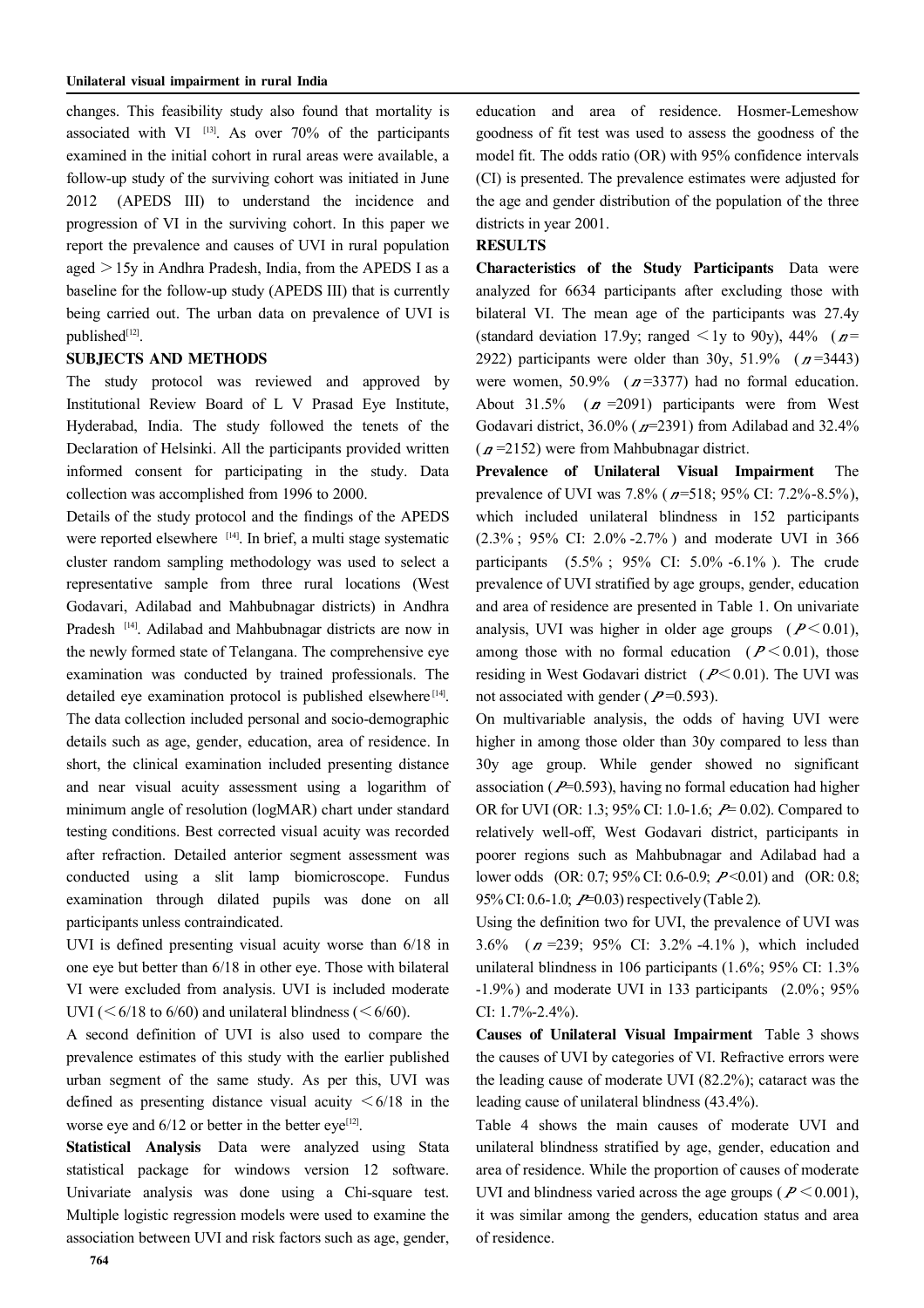changes. This feasibility study also found that mortality is associated with VI  $^{[13]}$ . As over 70% of the participants examined in the initial cohort in rural areas were available, a follow-up study of the surviving cohort was initiated in June 2012 (APEDS III) to understand the incidence and progression of VI in the surviving cohort. In this paper we report the prevalence and causes of UVI in rural population aged  $>15y$  in Andhra Pradesh, India, from the APEDS I as a baseline for the follow-up study (APEDS III) that is currently being carried out. The urban data on prevalence of UVI is published[12].

#### SUBJECTS AND METHODS

The study protocol was reviewed and approved by Institutional Review Board of L V Prasad Eye Institute, Hyderabad, India. The study followed the tenets of the Declaration of Helsinki. All the participants provided written informed consent for participating in the study. Data collection was accomplished from 1996 to 2000.

Details of the study protocol and the findings of the APEDS were reported elsewhere [14]. In brief, a multi stage systematic cluster random sampling methodology was used to select a representative sample from three rural locations (West Godavari, Adilabad and Mahbubnagar districts) in Andhra Pradesh [14]. Adilabad and Mahbubnagar districts are now in the newly formed state of Telangana. The comprehensive eye examination was conducted by trained professionals. The detailed eye examination protocol is published elsewhere<sup>[14]</sup>. The data collection included personal and socio-demographic details such as age, gender, education, area of residence. In short, the clinical examination included presenting distance and near visual acuity assessment using a logarithm of minimum angle of resolution (logMAR) chart under standard testing conditions. Best corrected visual acuity was recorded after refraction. Detailed anterior segment assessment was conducted using a slit lamp biomicroscope. Fundus examination through dilated pupils was done on all participants unless contraindicated.

UVI is defined presenting visual acuity worse than 6/18 in one eye but better than 6/18 in other eye. Those with bilateral VI were excluded from analysis. UVI is included moderate UVI ( $\leq 6/18$  to 6/60) and unilateral blindness ( $\leq 6/60$ ).

A second definition of UVI is also used to compare the prevalence estimates of this study with the earlier published urban segment of the same study. As per this, UVI was defined as presenting distance visual acuity  $\leq 6/18$  in the worse eye and  $6/12$  or better in the better eye<sup>[12]</sup>.

Statistical Analysis Data were analyzed using Stata statistical package for windows version 12 software. Univariate analysis was done using a Chi-square test. Multiple logistic regression models were used to examine the association between UVI and risk factors such as age, gender, education and area of residence. Hosmer-Lemeshow goodness of fit test was used to assess the goodness of the model fit. The odds ratio (OR) with 95% confidence intervals (CI) is presented. The prevalence estimates were adjusted for the age and gender distribution of the population of the three districts in year 2001.

#### RESULTS

Characteristics of the Study Participants Data were analyzed for 6634 participants after excluding those with bilateral VI. The mean age of the participants was 27.4y (standard deviation 17.9y; ranged  $\leq 1$ y to 90y), 44% ( $p=$ 2922) participants were older than 30y, 51.9%  $(n=3443)$ were women, 50.9% ( $n=3377$ ) had no formal education. About 31.5% ( $n = 2091$ ) participants were from West Godavari district,  $36.0\%$  ( $\pi$ =2391) from Adilabad and 32.4%  $(n=2152)$  were from Mahbubnagar district.

Prevalence of Unilateral Visual Impairment The prevalence of UVI was  $7.8\%$  ( $n=518$ ; 95% CI:  $7.2\%$ -8.5%), which included unilateral blindness in 152 participants (2.3% ; 95% CI: 2.0% -2.7% ) and moderate UVI in 366 participants (5.5% ; 95% CI: 5.0% -6.1% ). The crude prevalence of UVI stratified by age groups, gender, education and area of residence are presented in Table 1. On univariate analysis, UVI was higher in older age groups  $(P<0.01)$ , among those with no formal education  $(P \le 0.01)$ , those residing in West Godavari district ( $P \le 0.01$ ). The UVI was not associated with gender ( $P=0.593$ ).

On multivariable analysis, the odds of having UVI were higher in among those older than 30y compared to less than 30y age group. While gender showed no significant association ( $P=0.593$ ), having no formal education had higher OR for UVI (OR: 1.3; 95% CI: 1.0-1.6;  $P= 0.02$ ). Compared to relatively well-off, West Godavari district, participants in poorer regions such as Mahbubnagar and Adilabad had a lower odds (OR: 0.7; 95% CI: 0.6-0.9; P<0.01) and (OR: 0.8; 95% CI: 0.6-1.0;  $P=0.03$  respectively (Table 2).

Using the definition two for UVI, the prevalence of UVI was  $3.6\%$  ( $n = 239$ ; 95% CI:  $3.2\%$  -4.1%), which included unilateral blindness in 106 participants (1.6%; 95% CI: 1.3% -1.9%) and moderate UVI in 133 participants (2.0%; 95% CI: 1.7%-2.4%).

Causes of Unilateral Visual Impairment Table 3 shows the causes of UVI by categories of VI. Refractive errors were the leading cause of moderate UVI (82.2%); cataract was the leading cause of unilateral blindness (43.4%).

Table 4 shows the main causes of moderate UVI and unilateral blindness stratified by age, gender, education and area of residence. While the proportion of causes of moderate UVI and blindness varied across the age groups ( $P \le 0.001$ ), it was similar among the genders, education status and area of residence.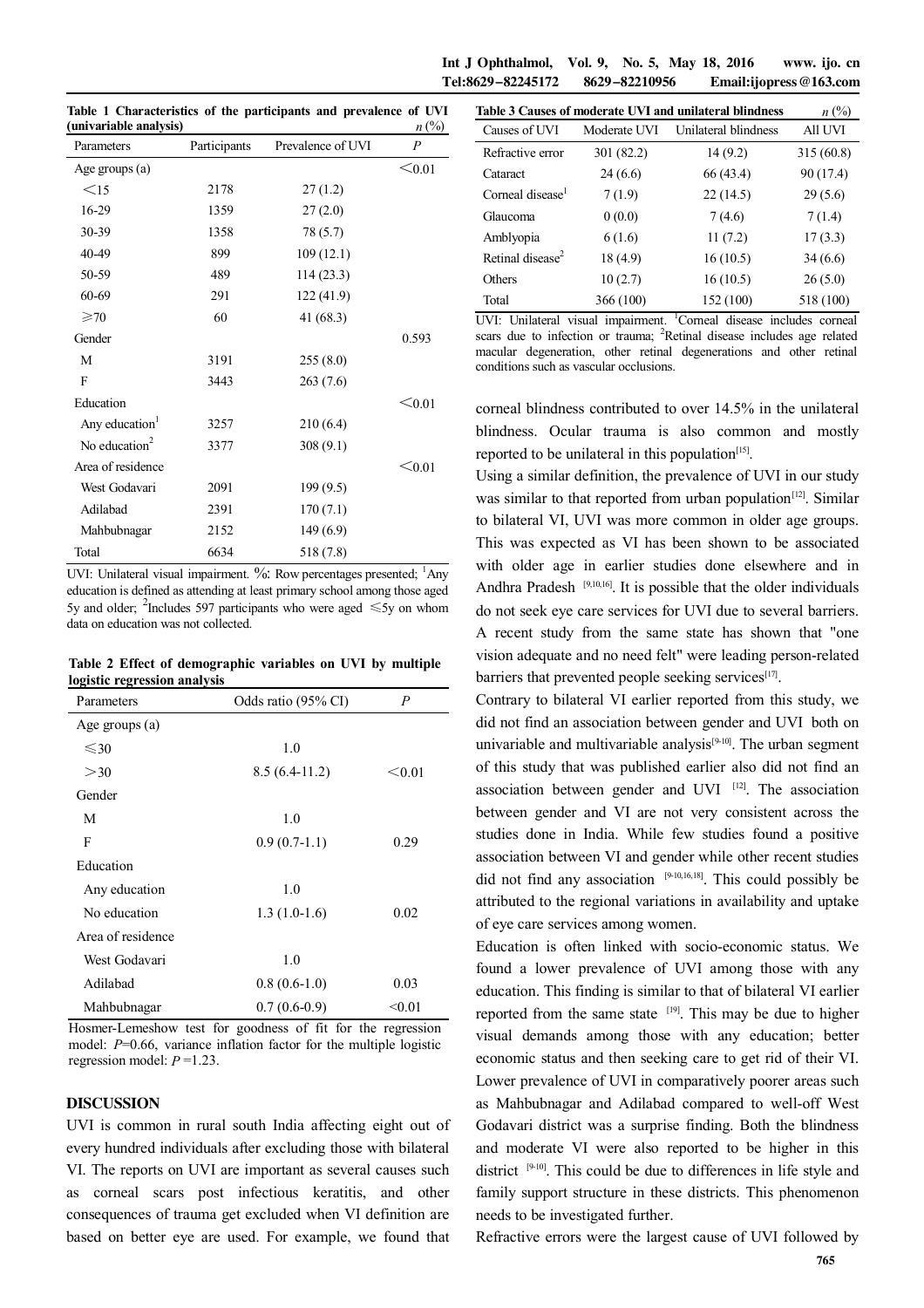Int J Ophthalmol, Vol. 9, No. 5, May 18, 2016 www. ijo. cn Tel:8629-82245172 8629-82210956 Email:ijopress@163.com

**Table 1 Characteristics of the participants and prevalence of UVI**  (univariable analysis)  $n \binom{9}{0}$ 

| Parameters                 | Participants | Prevalence of UVI | $\overline{P}$ |
|----------------------------|--------------|-------------------|----------------|
| Age groups (a)             |              |                   | $\leq 0.01$    |
| $\leq$ 15                  | 2178         | 27(1.2)           |                |
| 16-29                      | 1359         | 27(2.0)           |                |
| 30-39                      | 1358         | 78 (5.7)          |                |
| 40-49                      | 899          | 109(12.1)         |                |
| 50-59                      | 489          | 114(23.3)         |                |
| 60-69                      | 291          | 122(41.9)         |                |
| $\geqslant 70$             | 60           | 41 (68.3)         |                |
| Gender                     |              |                   | 0.593          |
| M                          | 3191         | 255(8.0)          |                |
| F                          | 3443         | 263(7.6)          |                |
| Education                  |              |                   | < 0.01         |
| Any education <sup>1</sup> | 3257         | 210(6.4)          |                |
| No education $2$           | 3377         | 308(9.1)          |                |
| Area of residence          |              |                   | $\leq 0.01$    |
| West Godavari              | 2091         | 199(9.5)          |                |
| Adilabad                   | 2391         | 170(7.1)          |                |
| Mahbubnagar                | 2152         | 149(6.9)          |                |
| Total                      | 6634         | 518 (7.8)         |                |

UVI: Unilateral visual impairment. %: Row percentages presented; <sup>1</sup>Any education is defined as attending at least primary school among those aged 5y and older; <sup>2</sup>Includes 597 participants who were aged  $\leq 5y$  on whom data on education was not collected.

**Table 2 Effect of demographic variables on UVI by multiple logistic regression analysis** 

| Parameters        | Odds ratio (95% CI) | $\overline{P}$ |  |
|-------------------|---------------------|----------------|--|
| Age groups (a)    |                     |                |  |
| $\leq 30$         | 1.0                 |                |  |
| >30               | $8.5(6.4-11.2)$     | < 0.01         |  |
| Gender            |                     |                |  |
| М                 | 1.0                 |                |  |
| F                 | $0.9(0.7-1.1)$      | 0.29           |  |
| Education         |                     |                |  |
| Any education     | 1.0                 |                |  |
| No education      | $1.3(1.0-1.6)$      | 0.02           |  |
| Area of residence |                     |                |  |
| West Godavari     | 1.0                 |                |  |
| Adilabad          | $0.8(0.6-1.0)$      | 0.03           |  |
| Mahbubnagar       | $0.7(0.6-0.9)$      | < 0.01         |  |

Hosmer-Lemeshow test for goodness of fit for the regression model: *P*=0.66, variance inflation factor for the multiple logistic regression model: *P* =1.23.

#### DISCUSSION

UVI is common in rural south India affecting eight out of every hundred individuals after excluding those with bilateral VI. The reports on UVI are important as several causes such as corneal scars post infectious keratitis, and other consequences of trauma get excluded when VI definition are based on better eye are used. For example, we found that

| Table 3 Causes of moderate UVI and unilateral blindness | $n\ (\%)$    |                      |           |
|---------------------------------------------------------|--------------|----------------------|-----------|
| Causes of UVI                                           | Moderate UVI | Unilateral blindness | All UVI   |
| Refractive error                                        | 301 (82.2)   | 14(9.2)              | 315(60.8) |
| Cataract                                                | 24(6.6)      | 66 (43.4)            | 90 (17.4) |
| Corneal disease <sup>1</sup>                            | 7(1.9)       | 22(14.5)             | 29(5.6)   |
| Glaucoma                                                | 0(0.0)       | 7(4.6)               | 7(1.4)    |
| Amblyopia                                               | 6(1.6)       | 11(7.2)              | 17(3.3)   |
| Retinal disease <sup>2</sup>                            | 18 (4.9)     | 16(10.5)             | 34(6.6)   |
| Others                                                  | 10(2.7)      | 16(10.5)             | 26(5.0)   |
| Total                                                   | 366 (100)    | 152 (100)            | 518 (100) |

UVI: Unilateral visual impairment. <sup>1</sup>Corneal disease includes corneal scars due to infection or trauma; <sup>2</sup>Retinal disease includes age related macular degeneration, other retinal degenerations and other retinal conditions such as vascular occlusions.

corneal blindness contributed to over 14.5% in the unilateral blindness. Ocular trauma is also common and mostly reported to be unilateral in this population $[15]$ .

Using a similar definition, the prevalence of UVI in our study was similar to that reported from urban population<sup>[12]</sup>. Similar to bilateral VI, UVI was more common in older age groups. This was expected as VI has been shown to be associated with older age in earlier studies done elsewhere and in Andhra Pradesh [9,10,16]. It is possible that the older individuals do not seek eye care services for UVI due to several barriers. A recent study from the same state has shown that "one vision adequate and no need felt" were leading person-related barriers that prevented people seeking services<sup>[17]</sup>.

Contrary to bilateral VI earlier reported from this study, we did not find an association between gender and UVI both on univariable and multivariable analysis<sup>[9-10]</sup>. The urban segment of this study that was published earlier also did not find an association between gender and UVI [12]. The association between gender and VI are not very consistent across the studies done in India. While few studies found a positive association between VI and gender while other recent studies did not find any association  $[9-10,16,18]$ . This could possibly be attributed to the regional variations in availability and uptake of eye care services among women.

Education is often linked with socio-economic status. We found a lower prevalence of UVI among those with any education. This finding is similar to that of bilateral VI earlier reported from the same state <sup>[19]</sup>. This may be due to higher visual demands among those with any education; better economic status and then seeking care to get rid of their VI. Lower prevalence of UVI in comparatively poorer areas such as Mahbubnagar and Adilabad compared to well-off West Godavari district was a surprise finding. Both the blindness and moderate VI were also reported to be higher in this district  $[9-10]$ . This could be due to differences in life style and family support structure in these districts. This phenomenon needs to be investigated further.

Refractive errors were the largest cause of UVI followed by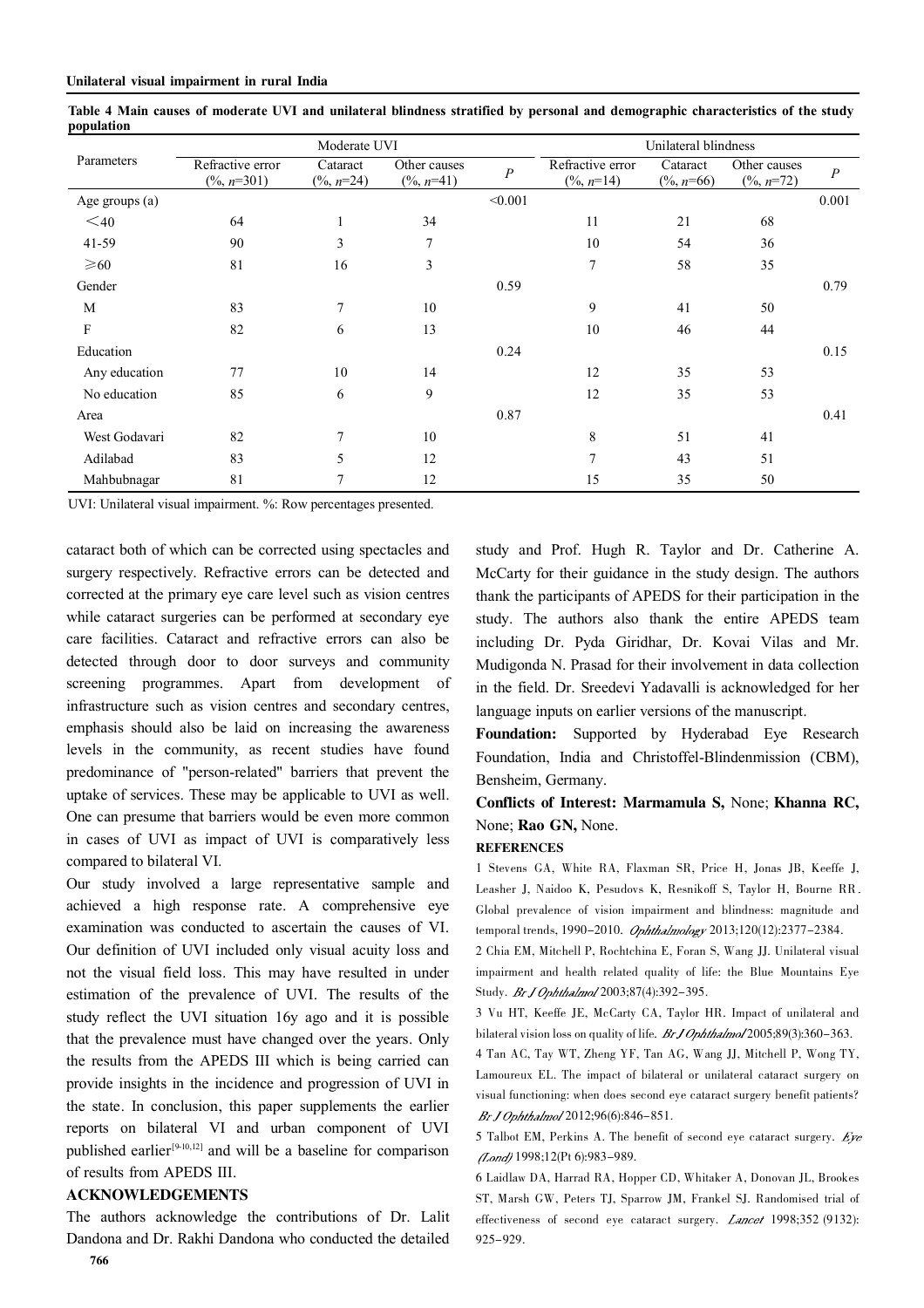|                | Moderate UVI                               |                                   |                                       | Unilateral blindness |                                           |                                   |                                       |                  |
|----------------|--------------------------------------------|-----------------------------------|---------------------------------------|----------------------|-------------------------------------------|-----------------------------------|---------------------------------------|------------------|
| Parameters     | Refractive error<br>$(\frac{9}{6}, n=301)$ | Cataract<br>$(\frac{9}{6}, n=24)$ | Other causes<br>$(\frac{9}{6}, n=41)$ | $\overline{P}$       | Refractive error<br>$(\frac{9}{6}, n=14)$ | Cataract<br>$(\frac{9}{6}, n=66)$ | Other causes<br>$(\frac{9}{6}, n=72)$ | $\boldsymbol{P}$ |
| Age groups (a) |                                            |                                   |                                       | < 0.001              |                                           |                                   |                                       | 0.001            |
| $\leq 40$      | 64                                         | 1                                 | 34                                    |                      | 11                                        | 21                                | 68                                    |                  |
| 41-59          | 90                                         | 3                                 | 7                                     |                      | 10                                        | 54                                | 36                                    |                  |
| $\geq 60$      | 81                                         | 16                                | 3                                     |                      | 7                                         | 58                                | 35                                    |                  |
| Gender         |                                            |                                   |                                       | 0.59                 |                                           |                                   |                                       | 0.79             |
| M              | 83                                         | $\overline{7}$                    | 10                                    |                      | 9                                         | 41                                | 50                                    |                  |
| F              | 82                                         | 6                                 | 13                                    |                      | 10                                        | 46                                | 44                                    |                  |
| Education      |                                            |                                   |                                       | 0.24                 |                                           |                                   |                                       | 0.15             |
| Any education  | 77                                         | 10                                | 14                                    |                      | 12                                        | 35                                | 53                                    |                  |
| No education   | 85                                         | 6                                 | 9                                     |                      | 12                                        | 35                                | 53                                    |                  |
| Area           |                                            |                                   |                                       | 0.87                 |                                           |                                   |                                       | 0.41             |
| West Godavari  | 82                                         | 7                                 | 10                                    |                      | 8                                         | 51                                | 41                                    |                  |
| Adilabad       | 83                                         | 5                                 | 12                                    |                      | 7                                         | 43                                | 51                                    |                  |
| Mahbubnagar    | 81                                         | 7                                 | 12                                    |                      | 15                                        | 35                                | 50                                    |                  |

Table 4 Main causes of moderate UVI and unilateral blindness stratified by personal and demographic characteristics of the study **population** 

UVI: Unilateral visual impairment. %: Row percentages presented.

cataract both of which can be corrected using spectacles and surgery respectively. Refractive errors can be detected and corrected at the primary eye care level such as vision centres while cataract surgeries can be performed at secondary eye care facilities. Cataract and refractive errors can also be detected through door to door surveys and community screening programmes. Apart from development of infrastructure such as vision centres and secondary centres, emphasis should also be laid on increasing the awareness levels in the community, as recent studies have found predominance of "person-related" barriers that prevent the uptake of services. These may be applicable to UVI as well. One can presume that barriers would be even more common in cases of UVI as impact of UVI is comparatively less compared to bilateral VI.

Our study involved a large representative sample and achieved a high response rate. A comprehensive eye examination was conducted to ascertain the causes of VI. Our definition of UVI included only visual acuity loss and not the visual field loss. This may have resulted in under estimation of the prevalence of UVI. The results of the study reflect the UVI situation 16y ago and it is possible that the prevalence must have changed over the years. Only the results from the APEDS III which is being carried can provide insights in the incidence and progression of UVI in the state. In conclusion, this paper supplements the earlier reports on bilateral VI and urban component of UVI published earlier<sup>[9-10,12]</sup> and will be a baseline for comparison of results from APEDS III.

#### ACKNOWLEDGEMENTS

The authors acknowledge the contributions of Dr. Lalit Dandona and Dr. Rakhi Dandona who conducted the detailed

study and Prof. Hugh R. Taylor and Dr. Catherine A. McCarty for their guidance in the study design. The authors thank the participants of APEDS for their participation in the study. The authors also thank the entire APEDS team including Dr. Pyda Giridhar, Dr. Kovai Vilas and Mr. Mudigonda N. Prasad for their involvement in data collection in the field. Dr. Sreedevi Yadavalli is acknowledged for her language inputs on earlier versions of the manuscript.

Foundation: Supported by Hyderabad Eye Research Foundation, India and Christoffel-Blindenmission (CBM), Bensheim, Germany.

## Conflicts of Interest: Marmamula S, None; Khanna RC, None; Rao GN, None.

#### **REFERENCES**

1 Stevens GA, White RA, Flaxman SR, Price H, Jonas JB, Keeffe J, Leasher J, Naidoo K, Pesudovs K, Resnikoff S, Taylor H, Bourne RR Global prevalence of vision impairment and blindness: magnitude and temporal trends, 1990-2010. Ophthalmology 2013;120(12):2377-2384.

2 Chia EM, Mitchell P, Rochtchina E, Foran S, Wang JJ. Unilateral visual impairment and health related quality of life: the Blue Mountains Eye Study. BrJ Ophthalmol 2003;87(4):392-395.

3 Vu HT, Keeffe JE, McCarty CA, Taylor HR. Impact of unilateral and bilateral vision loss on quality of life.  $BrJOphthalmol$  2005;89(3):360-363.

4 Tan AC, Tay WT, Zheng YF, Tan AG, Wang JJ, Mitchell P, Wong TY, Lamoureux EL. The impact of bilateral or unilateral cataract surgery on visual functioning: when does second eye cataract surgery benefit patients? Br.J Ophthalmol 2012;96(6):846-851.

5 Talbot EM, Perkins A. The benefit of second eye cataract surgery. Eye (Lond) 1998;12(Pt 6):983-989.

6 Laidlaw DA, Harrad RA, Hopper CD, Whitaker A, Donovan JL, Brookes ST, Marsh GW, Peters TJ, Sparrow JM, Frankel SJ. Randomised trial of effectiveness of second eye cataract surgery. *Lancet* 1998;352 (9132): 925-929.